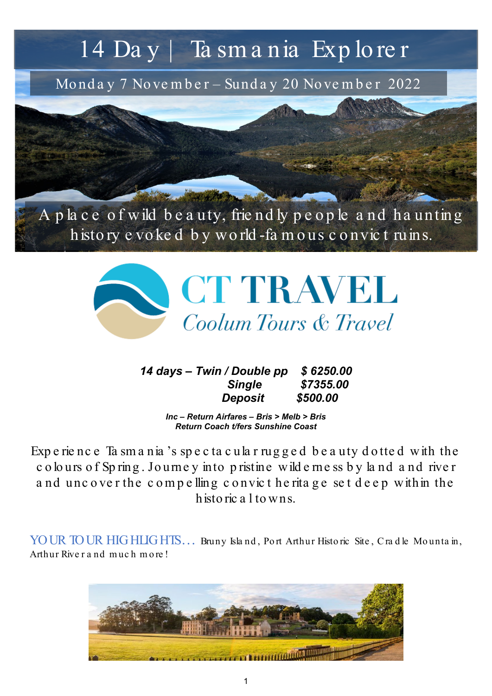# 14 Da y | Ta sm a nia Exp lo re r

Monday 7 November – Sunday 20 November 2022



histo ry e vo ke d b y wo rld -fa m o us c o nvic t ruins.



*14 days – Twin / Double pp \$ 6250.00 Single \$7355.00 Deposit \$500.00*

> *Inc – Return Airfares – Bris > Melb > Bris Return Coach t/fers Sunshine Coast*

Exp e rie nc e Ta sm a nia 's sp e c ta c ula r rug g e d b e a uty d o tte d with the c o lo urs o f Sp ring . Jo urne y into p ristine wild e rne ss b y la nd a nd rive r and uncover the compelling convict he ritage set deep within the histo ric a l to wns.

YOUR TOUR HIGHLIGHTS... Bruny Island, Port Arthur Historic Site, Cradle Mountain, Arthur Rive r a nd much m o re !

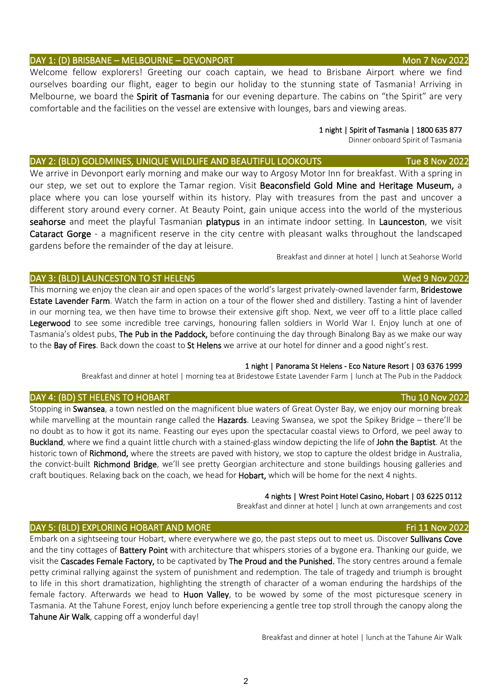### DAY 1: (D) BRISBANE – MELBOURNE – DEVONPORT Mon 7 Nov 2022

Welcome fellow explorers! Greeting our coach captain, we head to Brisbane Airport where we find ourselves boarding our flight, eager to begin our holiday to the stunning state of Tasmania! Arriving in Melbourne, we board the Spirit of Tasmania for our evening departure. The cabins on "the Spirit" are very comfortable and the facilities on the vessel are extensive with lounges, bars and viewing areas.

### 1 night | Spirit of Tasmania | 1800 635 877

Dinner onboard Spirit of Tasmania

### DAY 2: (BLD) GOLDMINES, UNIQUE WILDLIFE AND BEAUTIFUL LOOKOUTS THE 8 NOV 2022

We arrive in Devonport early morning and make our way to Argosy Motor Inn for breakfast. With a spring in our step, we set out to explore the Tamar region. Visit Beaconsfield Gold Mine and Heritage Museum, a place where you can lose yourself within its history. Play with treasures from the past and uncover a different story around every corner. At Beauty Point, gain unique access into the world of the mysterious seahorse and meet the playful Tasmanian platypus in an intimate indoor setting. In Launceston, we visit Cataract Gorge - a magnificent reserve in the city centre with pleasant walks throughout the landscaped gardens before the remainder of the day at leisure.

Breakfast and dinner at hotel | lunch at Seahorse World

### DAY 3: (BLD) LAUNCESTON TO ST HELENS Wed 9 Nov 2022

This morning we enjoy the clean air and open spaces of the world's largest privately-owned lavender farm, **Bridestowe** Estate Lavender Farm. Watch the farm in action on a tour of the flower shed and distillery. Tasting a hint of lavender in our morning tea, we then have time to browse their extensive gift shop. Next, we veer off to a little place called Legerwood to see some incredible tree carvings, honouring fallen soldiers in World War I. Enjoy lunch at one of Tasmania's oldest pubs, The Pub in the Paddock, before continuing the day through Binalong Bay as we make our way to the Bay of Fires. Back down the coast to St Helens we arrive at our hotel for dinner and a good night's rest.

### 1 night | Panorama St Helens - Eco Nature Resort | 03 6376 1999

Breakfast and dinner at hotel | morning tea at Bridestowe Estate Lavender Farm | lunch at The Pub in the Paddock

### DAY 4: (BD) ST HELENS TO HOBART Thu 10 Nov 2022

Stopping in Swansea, a town nestled on the magnificent blue waters of Great Oyster Bay, we enjoy our morning break while marvelling at the mountain range called the Hazards. Leaving Swansea, we spot the Spikey Bridge – there'll be no doubt as to how it got its name. Feasting our eyes upon the spectacular coastal views to Orford, we peel away to Buckland, where we find a quaint little church with a stained-glass window depicting the life of John the Baptist. At the historic town of Richmond, where the streets are paved with history, we stop to capture the oldest bridge in Australia, the convict-built Richmond Bridge, we'll see pretty Georgian architecture and stone buildings housing galleries and craft boutiques. Relaxing back on the coach, we head for **Hobart**, which will be home for the next 4 nights.

### 4 nights | Wrest Point Hotel Casino, Hobart | 03 6225 0112

Breakfast and dinner at hotel | lunch at own arrangements and cost

### DAY 5: (BLD) EXPLORING HOBART AND MORE THE SERVICE OF THE SERVICE OF THE SERVICE OF THE SERVICE OF THE SERVICE

Embark on a sightseeing tour Hobart, where everywhere we go, the past steps out to meet us. Discover Sullivans Cove and the tiny cottages of **Battery Point** with architecture that whispers stories of a bygone era. Thanking our guide, we visit the Cascades Female Factory, to be captivated by The Proud and the Punished. The story centres around a female petty criminal rallying against the system of punishment and redemption. The tale of tragedy and triumph is brought to life in this short dramatization, highlighting the strength of character of a woman enduring the hardships of the female factory. Afterwards we head to Huon Valley, to be wowed by some of the most picturesque scenery in Tasmania. At the Tahune Forest, enjoy lunch before experiencing a gentle tree top stroll through the canopy along the Tahune Air Walk, capping off a wonderful day!

Breakfast and dinner at hotel | lunch at the Tahune Air Walk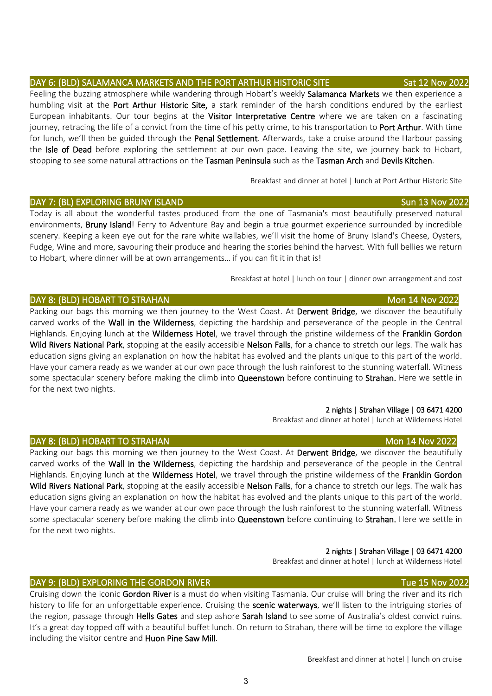# DAY 6: (BLD) SALAMANCA MARKETS AND THE PORT ARTHUR HISTORIC SITE Sat 12 Nov 2022

Feeling the buzzing atmosphere while wandering through Hobart's weekly Salamanca Markets we then experience a humbling visit at the Port Arthur Historic Site, a stark reminder of the harsh conditions endured by the earliest European inhabitants. Our tour begins at the Visitor Interpretative Centre where we are taken on a fascinating journey, retracing the life of a convict from the time of his petty crime, to his transportation to **Port Arthur**. With time for lunch, we'll then be guided through the **Penal Settlement**. Afterwards, take a cruise around the Harbour passing the Isle of Dead before exploring the settlement at our own pace. Leaving the site, we journey back to Hobart, stopping to see some natural attractions on the Tasman Peninsula such as the Tasman Arch and Devils Kitchen.

Breakfast and dinner at hotel | lunch at Port Arthur Historic Site

### DAY 7: (BL) EXPLORING BRUNY ISLAND Sun 13 Nov 2022

Today is all about the wonderful tastes produced from the one of Tasmania's most beautifully preserved natural environments, **Bruny Island!** Ferry to Adventure Bay and begin a true gourmet experience surrounded by incredible scenery. Keeping a keen eye out for the rare white wallabies, we'll visit the home of Bruny Island's Cheese, Oysters, Fudge, Wine and more, savouring their produce and hearing the stories behind the harvest. With full bellies we return to Hobart, where dinner will be at own arrangements… if you can fit it in that is!

Breakfast at hotel | lunch on tour | dinner own arrangement and cost

### DAY 8: (BLD) HOBART TO STRAHAN MONTHLEY BE SEEN ASSESSED. THE STATE OF THE STATE OF THE STATE OF THE STATE OF T

Packing our bags this morning we then journey to the West Coast. At Derwent Bridge, we discover the beautifully carved works of the Wall in the Wilderness, depicting the hardship and perseverance of the people in the Central Highlands. Enjoying lunch at the Wilderness Hotel, we travel through the pristine wilderness of the Franklin Gordon Wild Rivers National Park, stopping at the easily accessible Nelson Falls, for a chance to stretch our legs. The walk has education signs giving an explanation on how the habitat has evolved and the plants unique to this part of the world. Have your camera ready as we wander at our own pace through the lush rainforest to the stunning waterfall. Witness some spectacular scenery before making the climb into Queenstown before continuing to Strahan. Here we settle in for the next two nights.

### 2 nights | Strahan Village | 03 6471 4200

Breakfast and dinner at hotel | lunch at Wilderness Hotel

### DAY 8: (BLD) HOBART TO STRAHAN Mon 14 Nov 2022

Packing our bags this morning we then journey to the West Coast. At Derwent Bridge, we discover the beautifully carved works of the Wall in the Wilderness, depicting the hardship and perseverance of the people in the Central Highlands. Enjoying lunch at the Wilderness Hotel, we travel through the pristine wilderness of the Franklin Gordon Wild Rivers National Park, stopping at the easily accessible Nelson Falls, for a chance to stretch our legs. The walk has education signs giving an explanation on how the habitat has evolved and the plants unique to this part of the world. Have your camera ready as we wander at our own pace through the lush rainforest to the stunning waterfall. Witness some spectacular scenery before making the climb into Queenstown before continuing to Strahan. Here we settle in for the next two nights.

### 2 nights | Strahan Village | 03 6471 4200

Breakfast and dinner at hotel | lunch at Wilderness Hotel

### DAY 9: (BLD) EXPLORING THE GORDON RIVER TUE 15 Nov 2022 AND TUE 15 Nov 2022

Cruising down the iconic Gordon River is a must do when visiting Tasmania. Our cruise will bring the river and its rich history to life for an unforgettable experience. Cruising the **scenic waterways**, we'll listen to the intriguing stories of the region, passage through Hells Gates and step ashore Sarah Island to see some of Australia's oldest convict ruins. It's a great day topped off with a beautiful buffet lunch. On return to Strahan, there will be time to explore the village including the visitor centre and Huon Pine Saw Mill.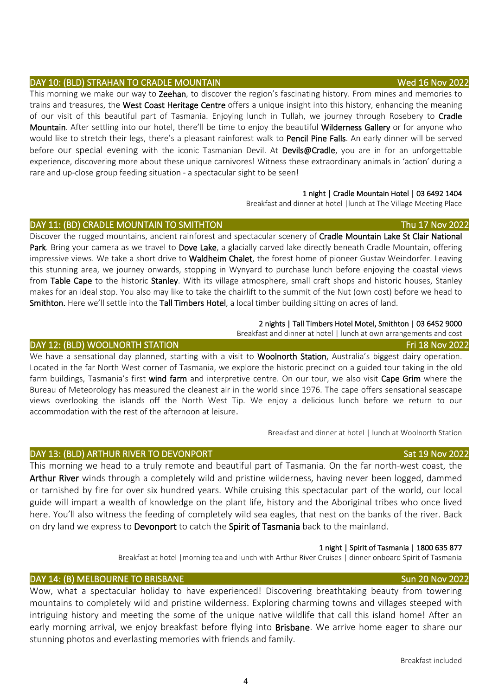# DAY 10: (BLD) STRAHAN TO CRADLE MOUNTAIN Wed 16 Nov 2022

This morning we make our way to Zeehan, to discover the region's fascinating history. From mines and memories to trains and treasures, the West Coast Heritage Centre offers a unique insight into this history, enhancing the meaning of our visit of this beautiful part of Tasmania. Enjoying lunch in Tullah, we journey through Rosebery to Cradle Mountain. After settling into our hotel, there'll be time to enjoy the beautiful Wilderness Gallery or for anyone who would like to stretch their legs, there's a pleasant rainforest walk to Pencil Pine Falls. An early dinner will be served before our special evening with the iconic Tasmanian Devil. At Devils@Cradle, you are in for an unforgettable experience, discovering more about these unique carnivores! Witness these extraordinary animals in 'action' during a rare and up-close group feeding situation - a spectacular sight to be seen!

### 1 night | Cradle Mountain Hotel | 03 6492 1404

Breakfast and dinner at hotel |lunch at The Village Meeting Place

### DAY 11: (BD) CRADLE MOUNTAIN TO SMITHTON THE SERVICE OF THE STATE THAT THE 17 NOV 2022

Discover the rugged mountains, ancient rainforest and spectacular scenery of Cradle Mountain Lake St Clair National Park. Bring your camera as we travel to Dove Lake, a glacially carved lake directly beneath Cradle Mountain, offering impressive views. We take a short drive to Waldheim Chalet, the forest home of pioneer Gustav Weindorfer. Leaving this stunning area, we journey onwards, stopping in Wynyard to purchase lunch before enjoying the coastal views from Table Cape to the historic Stanley. With its village atmosphere, small craft shops and historic houses, Stanley makes for an ideal stop. You also may like to take the chairlift to the summit of the Nut (own cost) before we head to Smithton. Here we'll settle into the Tall Timbers Hotel, a local timber building sitting on acres of land.

### 2 nights | Tall Timbers Hotel Motel, Smithton | 03 6452 9000

Breakfast and dinner at hotel | lunch at own arrangements and cost

### DAY 12: (BLD) WOOLNORTH STATION FRIESDAY CONTROL TO THE RESERVE THAT THE RESERVE THAT IS NOV 2022

We have a sensational day planned, starting with a visit to Woolnorth Station, Australia's biggest dairy operation. Located in the far North West corner of Tasmania, we explore the historic precinct on a guided tour taking in the old farm buildings, Tasmania's first wind farm and interpretive centre. On our tour, we also visit Cape Grim where the Bureau of Meteorology has measured the cleanest air in the world since 1976. The cape offers sensational seascape views overlooking the islands off the North West Tip. We enjoy a delicious lunch before we return to our accommodation with the rest of the afternoon at leisure.

Breakfast and dinner at hotel | lunch at Woolnorth Station

This morning we head to a truly remote and beautiful part of Tasmania. On the far north-west coast, the Arthur River winds through a completely wild and pristine wilderness, having never been logged, dammed or tarnished by fire for over six hundred years. While cruising this spectacular part of the world, our local guide will impart a wealth of knowledge on the plant life, history and the Aboriginal tribes who once lived here. You'll also witness the feeding of completely wild sea eagles, that nest on the banks of the river. Back on dry land we express to Devonport to catch the Spirit of Tasmania back to the mainland.

### 1 night | Spirit of Tasmania | 1800 635 877

Breakfast at hotel |morning tea and lunch with Arthur River Cruises | dinner onboard Spirit of Tasmania

### DAY 14: (B) MELBOURNE TO BRISBANE SUN 2008 SUN 2022

Wow, what a spectacular holiday to have experienced! Discovering breathtaking beauty from towering mountains to completely wild and pristine wilderness. Exploring charming towns and villages steeped with intriguing history and meeting the some of the unique native wildlife that call this island home! After an early morning arrival, we enjoy breakfast before flying into Brisbane. We arrive home eager to share our stunning photos and everlasting memories with friends and family.

4

# DAY 13: (BLD) ARTHUR RIVER TO DEVONPORT NAMEL SATE 19 NOV 2022 Sat 19 Nov 2022